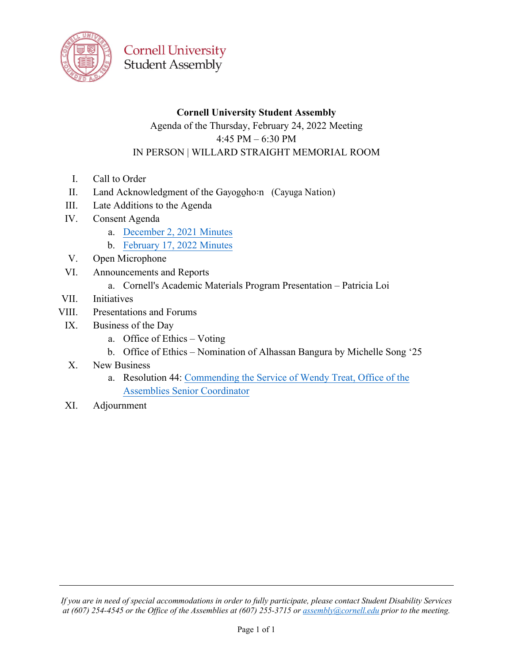

Agenda of the Thursday, February 24, 2022 Meeting 4:45 PM – 6:30 PM IN PERSON | WILLARD STRAIGHT MEMORIAL ROOM

- I. Call to Order
- II. Land Acknowledgment of the Gayogo̯hoːn (Cayuga Nation)
- III. Late Additions to the Agenda
- IV. Consent Agenda
	- a. [December 2, 2021 Minutes](https://cornell.box.com/s/p0an00r253v517p7i4ywawcluzz9loe3)

**Cornell University Student Assembly** 

- b. [February 17, 2022 Minutes](https://cornell.box.com/s/ouiwvt7kxcpnh6nb4sj92gqwe44ltr51)
- V. Open Microphone
- VI. Announcements and Reports
	- a. Cornell's Academic Materials Program Presentation Patricia Loi
- VII. Initiatives
- VIII. Presentations and Forums
- IX. Business of the Day
	- a. Office of Ethics Voting
	- b. Office of Ethics Nomination of Alhassan Bangura by Michelle Song '25
- X. New Business
	- a. [Resolution 44: Commending the Service of Wendy Treat, Office of the](https://cornell.box.com/s/97pen7w5i53z4ia7eoy61ksp9tlzmrac) Assemblies Senior Coordinator
- XI. Adjournment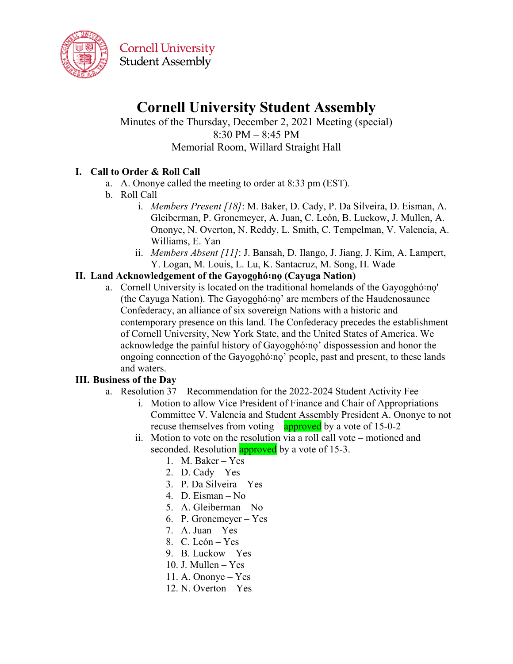

# **Cornell University Student Assembly**

### Minutes of the Thursday, December 2, 2021 Meeting (special) 8:30 PM – 8:45 PM Memorial Room, Willard Straight Hall

### **I. Call to Order & Roll Call**

- a. A. Ononye called the meeting to order at 8:33 pm (EST).
- b. Roll Call
	- i. *Members Present [18]*: M. Baker, D. Cady, P. Da Silveira, D. Eisman, A. Gleiberman, P. Gronemeyer, A. Juan, C. León, B. Luckow, J. Mullen, A. Ononye, N. Overton, N. Reddy, L. Smith, C. Tempelman, V. Valencia, A. Williams, E. Yan
	- ii. *Members Absent [11]*: J. Bansah, D. Ilango, J. Jiang, J. Kim, A. Lampert, Y. Logan, M. Louis, L. Lu, K. Santacruz, M. Song, H. Wade

### **II. Land Acknowledgement of the Gayogo̱hó꞉nǫ (Cayuga Nation)**

a. Cornell University is located on the traditional homelands of the Gayogono no' (the Cayuga Nation). The Gayogohó: no' are members of the Haudenosaunee Confederacy, an alliance of six sovereign Nations with a historic and contemporary presence on this land. The Confederacy precedes the establishment of Cornell University, New York State, and the United States of America. We acknowledge the painful history of Gayogohó:no' dispossession and honor the ongoing connection of the Gayogohó:no' people, past and present, to these lands and waters.

#### **III. Business of the Day**

- a. Resolution 37 Recommendation for the 2022-2024 Student Activity Fee
	- i. Motion to allow Vice President of Finance and Chair of Appropriations Committee V. Valencia and Student Assembly President A. Ononye to not recuse themselves from voting  $-\frac{approved}{approved}$  by a vote of 15-0-2
	- ii. Motion to vote on the resolution via a roll call vote motioned and seconded. Resolution approved by a vote of 15-3.
		- 1. M. Baker Yes
		- 2. D. Cady Yes
		- 3. P. Da Silveira Yes
		- 4. D. Eisman No
		- 5. A. Gleiberman No
		- 6. P. Gronemeyer Yes
		- 7. A. Juan Yes
		- 8. C. León Yes
		- 9. B. Luckow Yes
		- 10. J. Mullen Yes
		- 11. A. Ononye Yes
		- 12. N. Overton Yes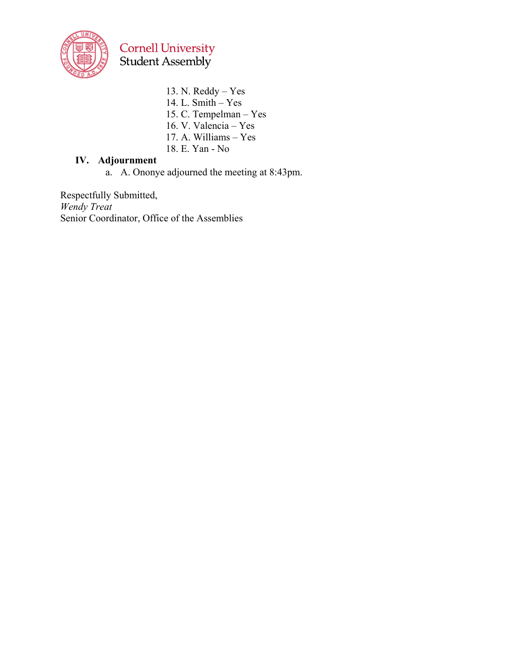

13. N. Reddy – Yes 14. L. Smith –  $Yes$ 15. C. Tempelman – Yes 16. V. Valencia – Yes 17. A. Williams – Yes 18. E. Yan - No

### **IV. Adjournment**

a. A. Ononye adjourned the meeting at 8:43pm.

Respectfully Submitted, *Wendy Treat* Senior Coordinator, Office of the Assemblies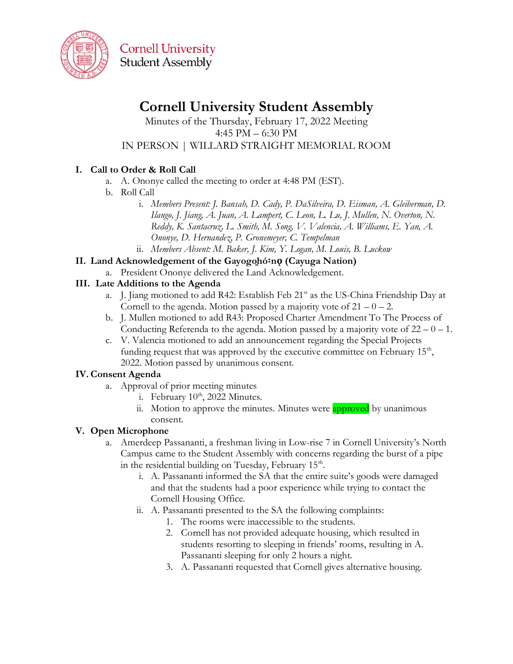

# **Cornell University Student Assembly**

Minutes of the Thursday, February 17, 2022 Meeting 4:45 PM – 6:30 PM IN PERSON | WILLARD STRAIGHT MEMORIAL ROOM

### **I. Call to Order & Roll Call**

- a. A. Ononye called the meeting to order at 4:48 PM (EST).
- b. Roll Call
	- i. *Members Present: J. Bansah, D. Cady, P. DaSilveira, D. Eisman, A. Gleiberman, D. Ilango, J. Jiang, A. Juan, A. Lampert, C. Leon, L. Lu, J. Mullen, N. Overton, N. Reddy, K. Santacruz, L. Smith, M. Song, V. Valencia, A. Williams, E. Yan, A. Ononye, D. Hernandez, P. Gronemeyer, C. Tempelman*
	- ii. *Members Absent: M. Baker, J. Kim, Y. Logan, M. Louis, B. Luckow*

#### **II. Land Acknowledgement of the Gayogo̱hó꞉nǫ (Cayuga Nation)**

a. President Ononye delivered the Land Acknowledgement.

#### **III. Late Additions to the Agenda**

- a. J. Jiang motioned to add R42: Establish Feb 21<sup>st</sup> as the US-China Friendship Day at Cornell to the agenda. Motion passed by a majority vote of  $21 - 0 - 2$ .
- b. J. Mullen motioned to add R43: Proposed Charter Amendment To The Process of Conducting Referenda to the agenda. Motion passed by a majority vote of  $22 - 0 - 1$ .
- c. V. Valencia motioned to add an announcement regarding the Special Projects funding request that was approved by the executive committee on February  $15<sup>th</sup>$ , 2022. Motion passed by unanimous consent.

#### **IV. Consent Agenda**

- a. Approval of prior meeting minutes
	- i. February  $10^{th}$ , 2022 Minutes.
	- ii. Motion to approve the minutes. Minutes were **approved** by unanimous consent.

#### **V. Open Microphone**

- a. Amerdeep Passananti, a freshman living in Low-rise 7 in Cornell University's North Campus came to the Student Assembly with concerns regarding the burst of a pipe in the residential building on Tuesday, February  $15<sup>th</sup>$ .
	- i. A. Passananti informed the SA that the entire suite's goods were damaged and that the students had a poor experience while trying to contact the Cornell Housing Office.
	- ii. A. Passananti presented to the SA the following complaints:
		- 1. The rooms were inaccessible to the students.
		- 2. Cornell has not provided adequate housing, which resulted in students resorting to sleeping in friends' rooms, resulting in A. Passananti sleeping for only 2 hours a night.
		- 3. A. Passananti requested that Cornell gives alternative housing.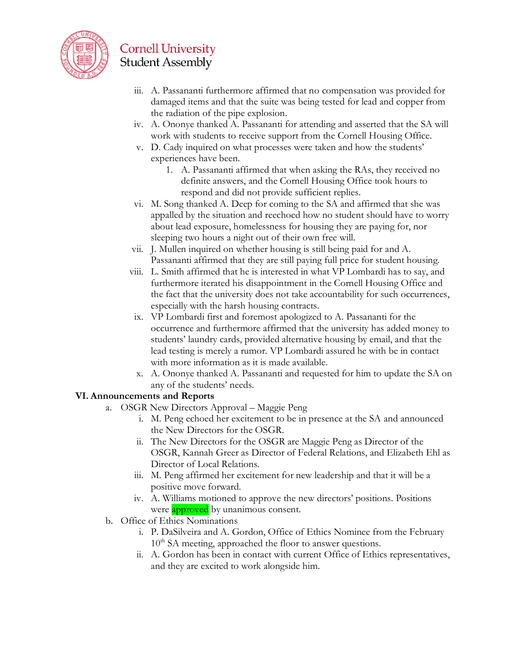

- iii. A. Passananti furthermore affirmed that no compensation was provided for damaged items and that the suite was being tested for lead and copper from the radiation of the pipe explosion.
- iv. A. Ononye thanked A. Passananti for attending and asserted that the SA will work with students to receive support from the Cornell Housing Office.
- v. D. Cady inquired on what processes were taken and how the students' experiences have been.
	- 1. A. Passananti affirmed that when asking the RAs, they received no definite answers, and the Cornell Housing Office took hours to respond and did not provide sufficient replies.
- vi. M. Song thanked A. Deep for coming to the SA and affirmed that she was appalled by the situation and reechoed how no student should have to worry about lead exposure, homelessness for housing they are paying for, nor sleeping two hours a night out of their own free will.
- vii. J. Mullen inquired on whether housing is still being paid for and A. Passananti affirmed that they are still paying full price for student housing.
- viii. L. Smith affirmed that he is interested in what VP Lombardi has to say, and furthermore iterated his disappointment in the Cornell Housing Office and the fact that the university does not take accountability for such occurrences, especially with the harsh housing contracts.
- ix. VP Lombardi first and foremost apologized to A. Passananti for the occurrence and furthermore affirmed that the university has added money to students' laundry cards, provided alternative housing by email, and that the lead testing is merely a rumor. VP Lombardi assured he with be in contact with more information as it is made available.
- x. A. Ononye thanked A. Passananti and requested for him to update the SA on any of the students' needs.

### **VI. Announcements and Reports**

- a. OSGR New Directors Approval Maggie Peng
	- i. M. Peng echoed her excitement to be in presence at the SA and announced the New Directors for the OSGR.
	- ii. The New Directors for the OSGR are Maggie Peng as Director of the OSGR, Kannah Greer as Director of Federal Relations, and Elizabeth Ehl as Director of Local Relations.
	- iii. M. Peng affirmed her excitement for new leadership and that it will be a positive move forward.
	- iv. A. Williams motioned to approve the new directors' positions. Positions were **approved** by unanimous consent.
- b. Office of Ethics Nominations
	- i. P. DaSilveira and A. Gordon, Office of Ethics Nominee from the February  $10<sup>th</sup>$  SA meeting, approached the floor to answer questions.
	- ii. A. Gordon has been in contact with current Office of Ethics representatives, and they are excited to work alongside him.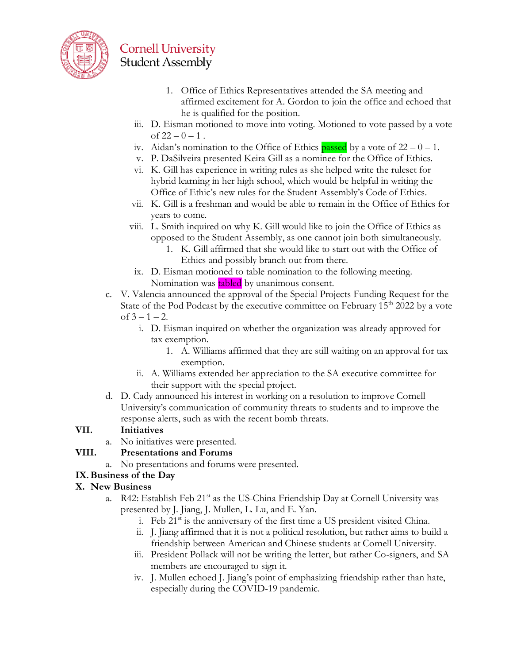

- 1. Office of Ethics Representatives attended the SA meeting and affirmed excitement for A. Gordon to join the office and echoed that he is qualified for the position.
- iii. D. Eisman motioned to move into voting. Motioned to vote passed by a vote of  $22 - 0 - 1$ .
- iv. Aidan's nomination to the Office of Ethics **passed** by a vote of  $22 0 1$ .
- v. P. DaSilveira presented Keira Gill as a nominee for the Office of Ethics.
- vi. K. Gill has experience in writing rules as she helped write the ruleset for hybrid learning in her high school, which would be helpful in writing the Office of Ethic's new rules for the Student Assembly's Code of Ethics.
- vii. K. Gill is a freshman and would be able to remain in the Office of Ethics for years to come.
- viii. L. Smith inquired on why K. Gill would like to join the Office of Ethics as opposed to the Student Assembly, as one cannot join both simultaneously.
	- 1. K. Gill affirmed that she would like to start out with the Office of Ethics and possibly branch out from there.
	- ix. D. Eisman motioned to table nomination to the following meeting. Nomination was tabled by unanimous consent.
- c. V. Valencia announced the approval of the Special Projects Funding Request for the State of the Pod Podcast by the executive committee on February  $15<sup>th</sup> 2022$  by a vote of  $3 - 1 - 2$ .
	- i. D. Eisman inquired on whether the organization was already approved for tax exemption.
		- 1. A. Williams affirmed that they are still waiting on an approval for tax exemption.
	- ii. A. Williams extended her appreciation to the SA executive committee for their support with the special project.
- d. D. Cady announced his interest in working on a resolution to improve Cornell University's communication of community threats to students and to improve the response alerts, such as with the recent bomb threats.

### **VII. Initiatives**

### a. No initiatives were presented.

### **VIII. Presentations and Forums**

a. No presentations and forums were presented.

### **IX.Business of the Day**

### **X. New Business**

- a. R42: Establish Feb 21<sup>st</sup> as the US-China Friendship Day at Cornell University was presented by J. Jiang, J. Mullen, L. Lu, and E. Yan.
	- i. Feb 21<sup>st</sup> is the anniversary of the first time a US president visited China.
	- ii. J. Jiang affirmed that it is not a political resolution, but rather aims to build a friendship between American and Chinese students at Cornell University.
	- iii. President Pollack will not be writing the letter, but rather Co-signers, and SA members are encouraged to sign it.
	- iv. J. Mullen echoed J. Jiang's point of emphasizing friendship rather than hate, especially during the COVID-19 pandemic.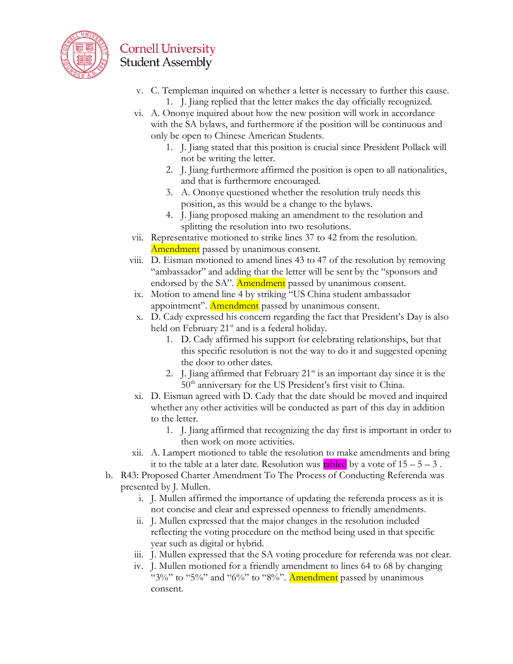

- v. C. Templeman inquired on whether a letter is necessary to further this cause. 1. J. Jiang replied that the letter makes the day officially recognized.
- vi. A. Ononye inquired about how the new position will work in accordance with the SA bylaws, and furthermore if the position will be continuous and only be open to Chinese American Students.
	- 1. J. Jiang stated that this position is crucial since President Pollack will not be writing the letter.
	- 2. J. Jiang furthermore affirmed the position is open to all nationalities, and that is furthermore encouraged.
	- 3. A. Ononye questioned whether the resolution truly needs this position, as this would be a change to the bylaws.
	- 4. J. Jiang proposed making an amendment to the resolution and splitting the resolution into two resolutions.
- vii. Representative motioned to strike lines 37 to 42 from the resolution. Amendment passed by unanimous consent.
- viii. D. Eisman motioned to amend lines 43 to 47 of the resolution by removing "ambassador" and adding that the letter will be sent by the "sponsors and endorsed by the SA". Amendment passed by unanimous consent.
- ix. Motion to amend line 4 by striking "US China student ambassador appointment". Amendment passed by unanimous consent.
- x. D. Cady expressed his concern regarding the fact that President's Day is also held on February  $21<sup>st</sup>$  and is a federal holiday.
	- 1. D. Cady affirmed his support for celebrating relationships, but that this specific resolution is not the way to do it and suggested opening the door to other dates.
	- 2. J. Jiang affirmed that February  $21^{st}$  is an important day since it is the  $50<sup>th</sup>$  anniversary for the US President's first visit to China.
- xi. D. Eisman agreed with D. Cady that the date should be moved and inquired whether any other activities will be conducted as part of this day in addition to the letter.
	- 1. J. Jiang affirmed that recognizing the day first is important in order to then work on more activities.
- xii. A. Lampert motioned to table the resolution to make amendments and bring it to the table at a later date. Resolution was tabled by a vote of  $15 - 5 - 3$ .
- b. R43: Proposed Charter Amendment To The Process of Conducting Referenda was presented by J. Mullen.
	- i. J. Mullen affirmed the importance of updating the referenda process as it is not concise and clear and expressed openness to friendly amendments.
	- ii. J. Mullen expressed that the major changes in the resolution included reflecting the voting procedure on the method being used in that specific year such as digital or hybrid.
	- iii. J. Mullen expressed that the SA voting procedure for referenda was not clear.
	- iv. J. Mullen motioned for a friendly amendment to lines 64 to 68 by changing " $3\%$ " to " $5\%$ " and " $6\%$ " to " $8\%$ ". Amendment passed by unanimous consent.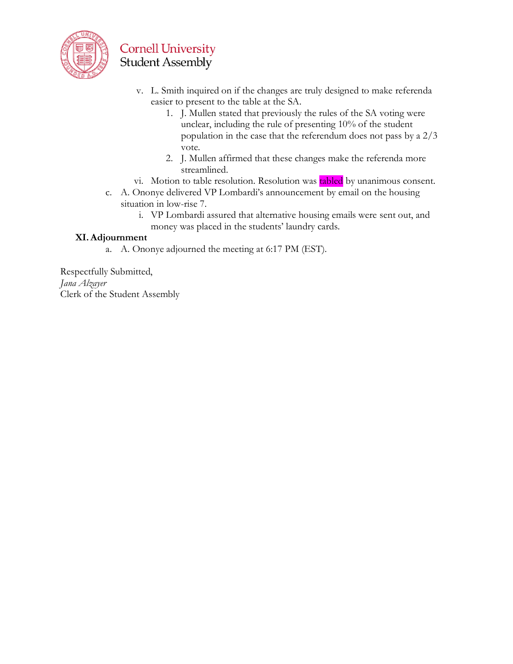

- v. L. Smith inquired on if the changes are truly designed to make referenda easier to present to the table at the SA.
	- 1. J. Mullen stated that previously the rules of the SA voting were unclear, including the rule of presenting 10% of the student population in the case that the referendum does not pass by a 2/3 vote.
	- 2. J. Mullen affirmed that these changes make the referenda more streamlined.
- vi. Motion to table resolution. Resolution was tabled by unanimous consent.
- c. A. Ononye delivered VP Lombardi's announcement by email on the housing situation in low-rise 7.
	- i. VP Lombardi assured that alternative housing emails were sent out, and money was placed in the students' laundry cards.

### **XI.Adjournment**

a. A. Ononye adjourned the meeting at 6:17 PM (EST).

Respectfully Submitted, *Jana Alzayer*  Clerk of the Student Assembly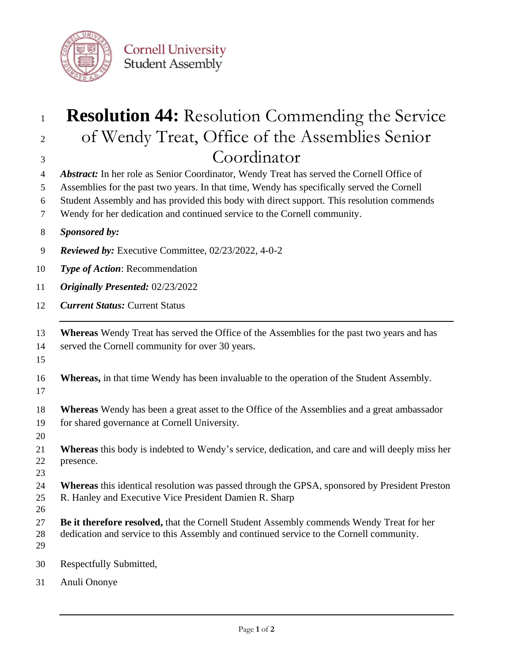

# **Resolution 44:** Resolution Commending the Service of Wendy Treat, Office of the Assemblies Senior Coordinator *Abstract:* In her role as Senior Coordinator, Wendy Treat has served the Cornell Office of Assemblies for the past two years. In that time, Wendy has specifically served the Cornell Student Assembly and has provided this body with direct support. This resolution commends Wendy for her dedication and continued service to the Cornell community. *Sponsored by: Reviewed by:* Executive Committee, 02/23/2022, 4-0-2 *Type of Action*: Recommendation *Originally Presented:* 02/23/2022 *Current Status:* Current Status **Whereas** Wendy Treat has served the Office of the Assemblies for the past two years and has served the Cornell community for over 30 years. **Whereas,** in that time Wendy has been invaluable to the operation of the Student Assembly. **Whereas** Wendy has been a great asset to the Office of the Assemblies and a great ambassador for shared governance at Cornell University. **Whereas** this body is indebted to Wendy's service, dedication, and care and will deeply miss her presence. **Whereas** this identical resolution was passed through the GPSA, sponsored by President Preston R. Hanley and Executive Vice President Damien R. Sharp **Be it therefore resolved,** that the Cornell Student Assembly commends Wendy Treat for her dedication and service to this Assembly and continued service to the Cornell community. Respectfully Submitted, Anuli Ononye